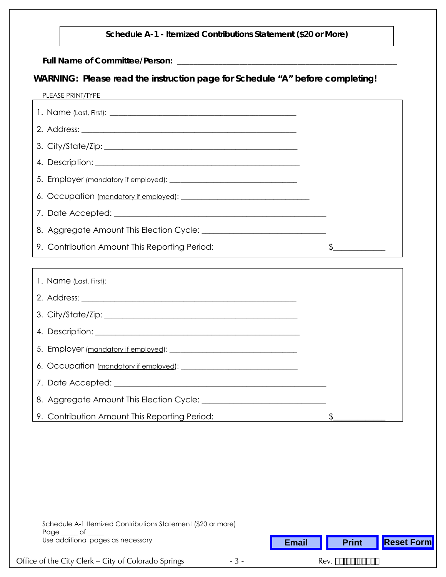## **Schedule A-1 - Itemized Contributions Statement (\$20 or More)**

**Full Name of Committee/Person:** \_\_\_\_\_\_\_\_\_\_\_\_\_\_\_\_\_\_\_\_\_\_\_\_\_\_\_\_\_\_\_\_\_\_\_\_\_\_\_\_\_\_\_\_\_\_\_\_\_\_\_\_\_

## **WARNING: Please read the instruction page for Schedule "A" before completing!**

| PLEASE PRINT/TYPE                             |               |
|-----------------------------------------------|---------------|
|                                               |               |
|                                               |               |
|                                               |               |
|                                               |               |
|                                               |               |
|                                               |               |
|                                               |               |
|                                               |               |
| 9. Contribution Amount This Reporting Period: | $\frac{1}{2}$ |
|                                               |               |
|                                               |               |
|                                               |               |
|                                               |               |
|                                               |               |

5. Employer (mandatory if employed): \_\_\_\_\_\_\_\_\_\_\_\_\_\_\_\_\_\_\_\_\_\_\_\_\_\_\_\_\_\_\_\_\_\_\_

6. Occupation (mandatory if employed): \_\_\_\_\_\_\_\_\_\_\_\_\_\_\_\_\_\_\_\_\_\_\_\_\_\_\_\_\_\_\_\_

| 7. Date Accepted:                        |  |
|------------------------------------------|--|
| 8. Aggregate Amount This Election Cycle: |  |

9. Contribution Amount This Reporting Period:  $\qquad \qquad$ 

| Schedule A-1 Itemized Contributions Statement (\$20 or more)<br>Page<br>of<br>Use additional pages as necessary |       |              |                                                       |                   |
|-----------------------------------------------------------------------------------------------------------------|-------|--------------|-------------------------------------------------------|-------------------|
|                                                                                                                 |       | <b>Email</b> | <b>Print</b>                                          | <b>Reset Form</b> |
| Office of the City Clerk – City of Colorado Springs                                                             | $-3-$ |              | Rev. \$&#\$, #&\$%</td><td></td></tr></tbody></table> |                   |